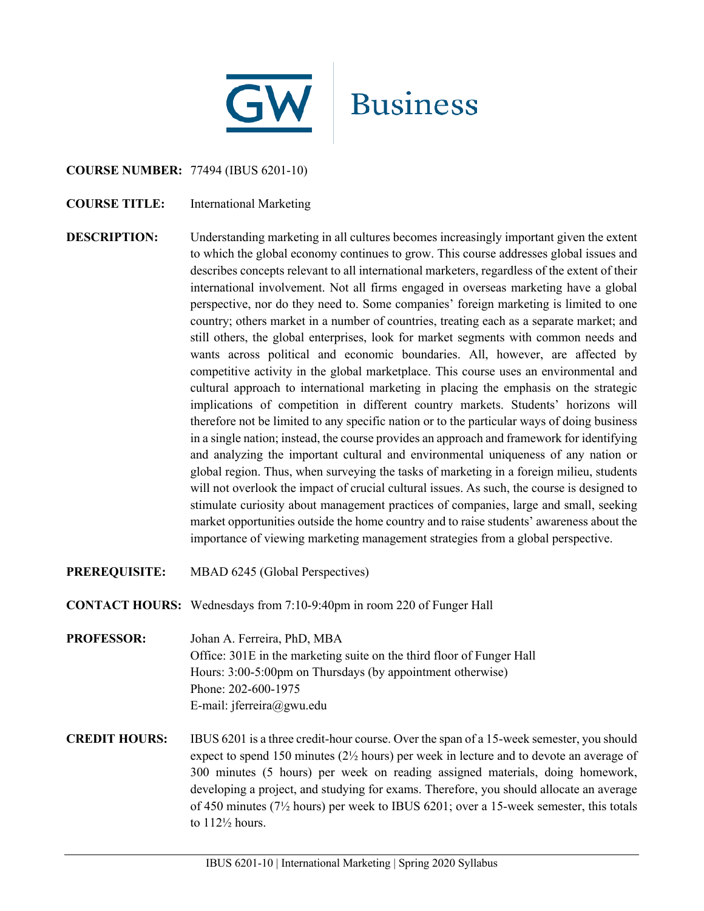

## **COURSE NUMBER:** 77494 (IBUS 6201-10)

- **COURSE TITLE:** International Marketing
- **DESCRIPTION:** Understanding marketing in all cultures becomes increasingly important given the extent to which the global economy continues to grow. This course addresses global issues and describes concepts relevant to all international marketers, regardless of the extent of their international involvement. Not all firms engaged in overseas marketing have a global perspective, nor do they need to. Some companies' foreign marketing is limited to one country; others market in a number of countries, treating each as a separate market; and still others, the global enterprises, look for market segments with common needs and wants across political and economic boundaries. All, however, are affected by competitive activity in the global marketplace. This course uses an environmental and cultural approach to international marketing in placing the emphasis on the strategic implications of competition in different country markets. Students' horizons will therefore not be limited to any specific nation or to the particular ways of doing business in a single nation; instead, the course provides an approach and framework for identifying and analyzing the important cultural and environmental uniqueness of any nation or global region. Thus, when surveying the tasks of marketing in a foreign milieu, students will not overlook the impact of crucial cultural issues. As such, the course is designed to stimulate curiosity about management practices of companies, large and small, seeking market opportunities outside the home country and to raise students' awareness about the importance of viewing marketing management strategies from a global perspective.
- **PREREQUISITE:** MBAD 6245 (Global Perspectives)
- **CONTACT HOURS:** Wednesdays from 7:10-9:40pm in room 220 of Funger Hall
- **PROFESSOR:** Johan A. Ferreira, PhD, MBA Office: 301E in the marketing suite on the third floor of Funger Hall Hours: 3:00-5:00pm on Thursdays (by appointment otherwise) Phone: 202-600-1975 E-mail: jferreira@gwu.edu
- **CREDIT HOURS:** IBUS 6201 is a three credit-hour course. Over the span of a 15-week semester, you should expect to spend 150 minutes (2½ hours) per week in lecture and to devote an average of 300 minutes (5 hours) per week on reading assigned materials, doing homework, developing a project, and studying for exams. Therefore, you should allocate an average of 450 minutes (7½ hours) per week to IBUS 6201; over a 15-week semester, this totals to 112½ hours.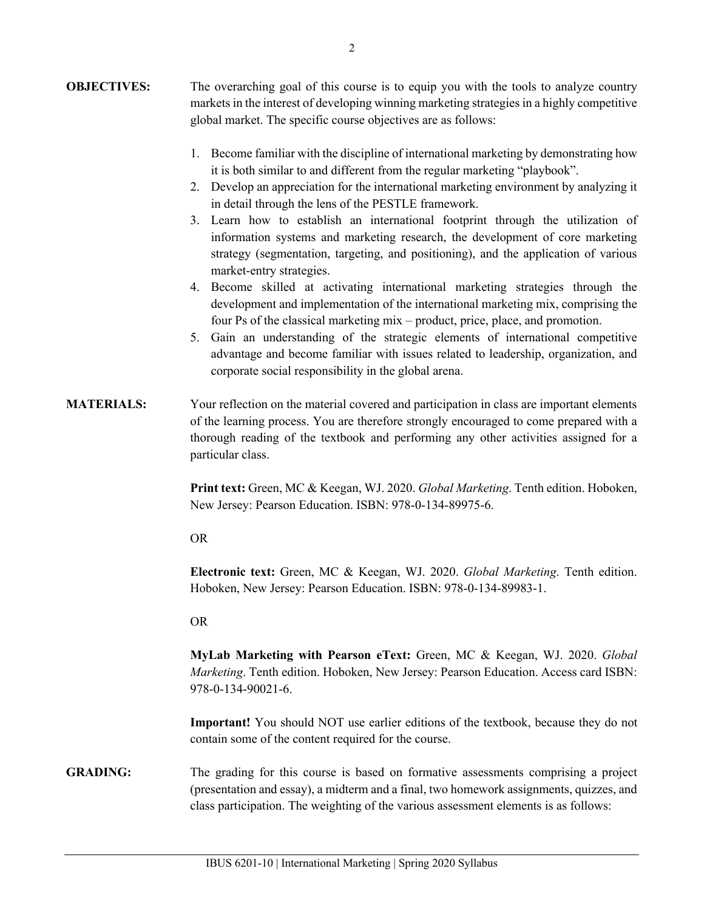- 1. Become familiar with the discipline of international marketing by demonstrating how it is both similar to and different from the regular marketing "playbook".
- 2. Develop an appreciation for the international marketing environment by analyzing it in detail through the lens of the PESTLE framework.
- 3. Learn how to establish an international footprint through the utilization of information systems and marketing research, the development of core marketing strategy (segmentation, targeting, and positioning), and the application of various market-entry strategies.
- 4. Become skilled at activating international marketing strategies through the development and implementation of the international marketing mix, comprising the four Ps of the classical marketing mix – product, price, place, and promotion.
- 5. Gain an understanding of the strategic elements of international competitive advantage and become familiar with issues related to leadership, organization, and corporate social responsibility in the global arena.
- **MATERIALS:** Your reflection on the material covered and participation in class are important elements of the learning process. You are therefore strongly encouraged to come prepared with a thorough reading of the textbook and performing any other activities assigned for a particular class.

**Print text:** Green, MC & Keegan, WJ. 2020. *Global Marketing*. Tenth edition. Hoboken, New Jersey: Pearson Education. ISBN: 978-0-134-89975-6.

# OR

**Electronic text:** Green, MC & Keegan, WJ. 2020. *Global Marketing*. Tenth edition. Hoboken, New Jersey: Pearson Education. ISBN: 978-0-134-89983-1.

#### OR

**MyLab Marketing with Pearson eText:** Green, MC & Keegan, WJ. 2020. *Global Marketing*. Tenth edition. Hoboken, New Jersey: Pearson Education. Access card ISBN: 978-0-134-90021-6.

**Important!** You should NOT use earlier editions of the textbook, because they do not contain some of the content required for the course.

GRADING: The grading for this course is based on formative assessments comprising a project (presentation and essay), a midterm and a final, two homework assignments, quizzes, and class participation. The weighting of the various assessment elements is as follows: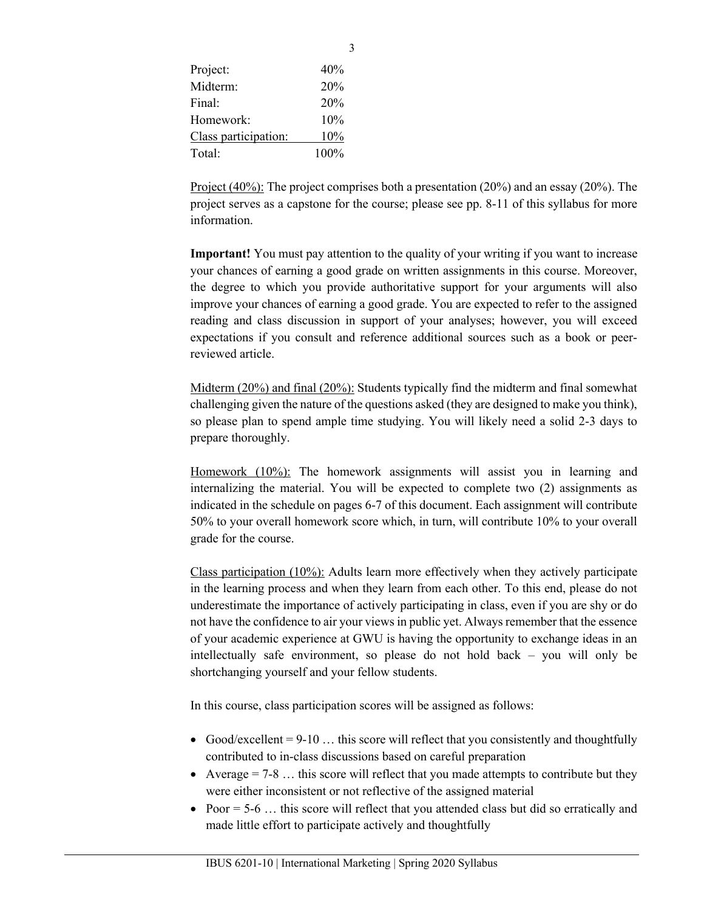| Project:             | 40%  |
|----------------------|------|
| Midterm:             | 20%  |
| Final:               | 20%  |
| Homework:            | 10%  |
| Class participation: | 10%  |
| Total:               | 100% |

Project (40%): The project comprises both a presentation (20%) and an essay (20%). The project serves as a capstone for the course; please see pp. 8-11 of this syllabus for more information.

**Important!** You must pay attention to the quality of your writing if you want to increase your chances of earning a good grade on written assignments in this course. Moreover, the degree to which you provide authoritative support for your arguments will also improve your chances of earning a good grade. You are expected to refer to the assigned reading and class discussion in support of your analyses; however, you will exceed expectations if you consult and reference additional sources such as a book or peerreviewed article.

Midterm (20%) and final (20%): Students typically find the midterm and final somewhat challenging given the nature of the questions asked (they are designed to make you think), so please plan to spend ample time studying. You will likely need a solid 2-3 days to prepare thoroughly.

Homework (10%): The homework assignments will assist you in learning and internalizing the material. You will be expected to complete two (2) assignments as indicated in the schedule on pages 6-7 of this document. Each assignment will contribute 50% to your overall homework score which, in turn, will contribute 10% to your overall grade for the course.

Class participation (10%): Adults learn more effectively when they actively participate in the learning process and when they learn from each other. To this end, please do not underestimate the importance of actively participating in class, even if you are shy or do not have the confidence to air your views in public yet. Always remember that the essence of your academic experience at GWU is having the opportunity to exchange ideas in an intellectually safe environment, so please do not hold back – you will only be shortchanging yourself and your fellow students.

In this course, class participation scores will be assigned as follows:

- Good/excellent =  $9-10$  ... this score will reflect that you consistently and thoughtfully contributed to in-class discussions based on careful preparation
- Average  $= 7-8$  ... this score will reflect that you made attempts to contribute but they were either inconsistent or not reflective of the assigned material
- Poor  $= 5-6$  ... this score will reflect that you attended class but did so erratically and made little effort to participate actively and thoughtfully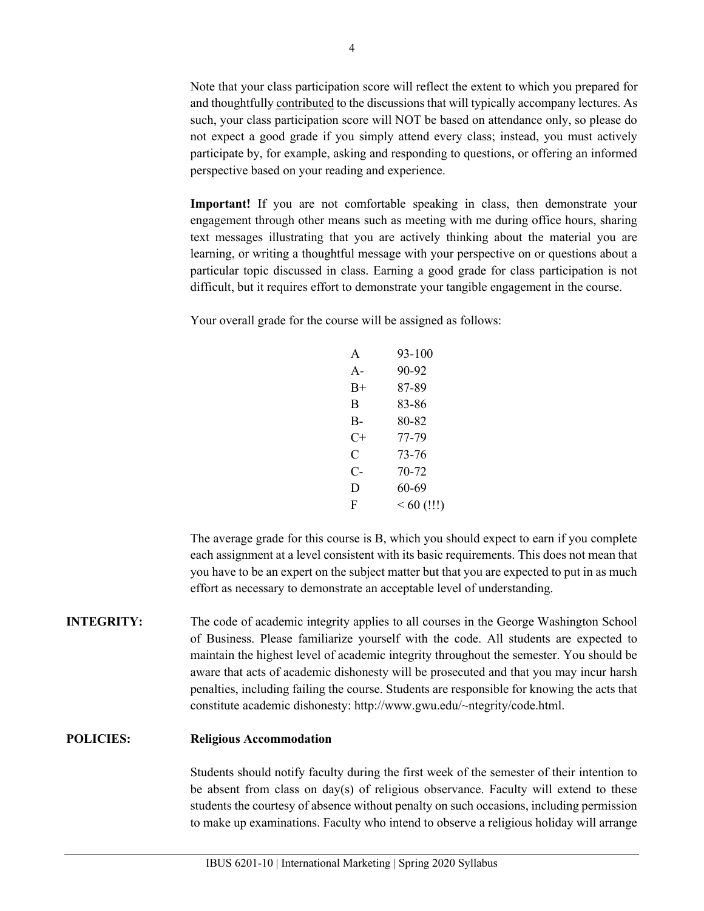Note that your class participation score will reflect the extent to which you prepared for and thoughtfully contributed to the discussions that will typically accompany lectures. As such, your class participation score will NOT be based on attendance only, so please do not expect a good grade if you simply attend every class; instead, you must actively participate by, for example, asking and responding to questions, or offering an informed perspective based on your reading and experience.

**Important!** If you are not comfortable speaking in class, then demonstrate your engagement through other means such as meeting with me during office hours, sharing text messages illustrating that you are actively thinking about the material you are learning, or writing a thoughtful message with your perspective on or questions about a particular topic discussed in class. Earning a good grade for class participation is not difficult, but it requires effort to demonstrate your tangible engagement in the course.

Your overall grade for the course will be assigned as follows:

| A                           | 93-100       |
|-----------------------------|--------------|
|                             |              |
| $A -$                       | 90-92        |
| $B+$                        | 87-89        |
| B                           | 83-86        |
| $B -$                       | 80-82        |
| $C+$                        | 77-79        |
| $\mathcal{C}_{\mathcal{C}}$ | 73-76        |
| $C-$                        | 70-72        |
| D                           | 60-69        |
| F                           | $< 60$ (!!!) |
|                             |              |

The average grade for this course is B, which you should expect to earn if you complete each assignment at a level consistent with its basic requirements. This does not mean that you have to be an expert on the subject matter but that you are expected to put in as much effort as necessary to demonstrate an acceptable level of understanding.

**INTEGRITY:** The code of academic integrity applies to all courses in the George Washington School of Business. Please familiarize yourself with the code. All students are expected to maintain the highest level of academic integrity throughout the semester. You should be aware that acts of academic dishonesty will be prosecuted and that you may incur harsh penalties, including failing the course. Students are responsible for knowing the acts that constitute academic dishonesty: http://www.gwu.edu/~ntegrity/code.html.

#### **POLICIES: Religious Accommodation**

Students should notify faculty during the first week of the semester of their intention to be absent from class on day(s) of religious observance. Faculty will extend to these students the courtesy of absence without penalty on such occasions, including permission to make up examinations. Faculty who intend to observe a religious holiday will arrange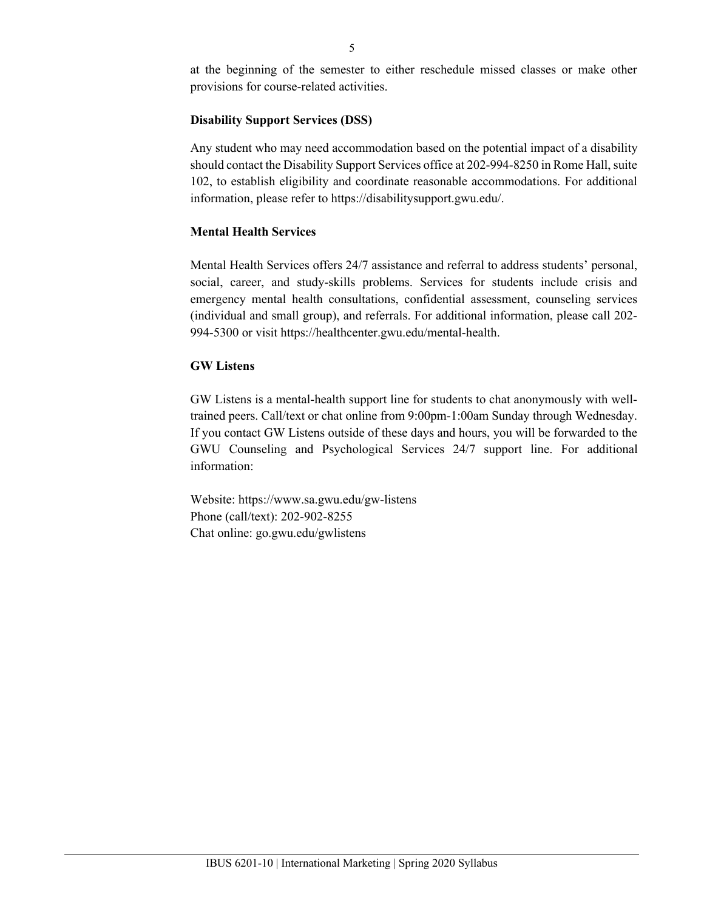at the beginning of the semester to either reschedule missed classes or make other provisions for course-related activities.

## **Disability Support Services (DSS)**

Any student who may need accommodation based on the potential impact of a disability should contact the Disability Support Services office at 202-994-8250 in Rome Hall, suite 102, to establish eligibility and coordinate reasonable accommodations. For additional information, please refer to https://disabilitysupport.gwu.edu/.

## **Mental Health Services**

Mental Health Services offers 24/7 assistance and referral to address students' personal, social, career, and study-skills problems. Services for students include crisis and emergency mental health consultations, confidential assessment, counseling services (individual and small group), and referrals. For additional information, please call 202- 994-5300 or visit https://healthcenter.gwu.edu/mental-health.

#### **GW Listens**

GW Listens is a mental-health support line for students to chat anonymously with welltrained peers. Call/text or chat online from 9:00pm-1:00am Sunday through Wednesday. If you contact GW Listens outside of these days and hours, you will be forwarded to the GWU Counseling and Psychological Services 24/7 support line. For additional information:

Website: https://www.sa.gwu.edu/gw-listens Phone (call/text): 202-902-8255 Chat online: go.gwu.edu/gwlistens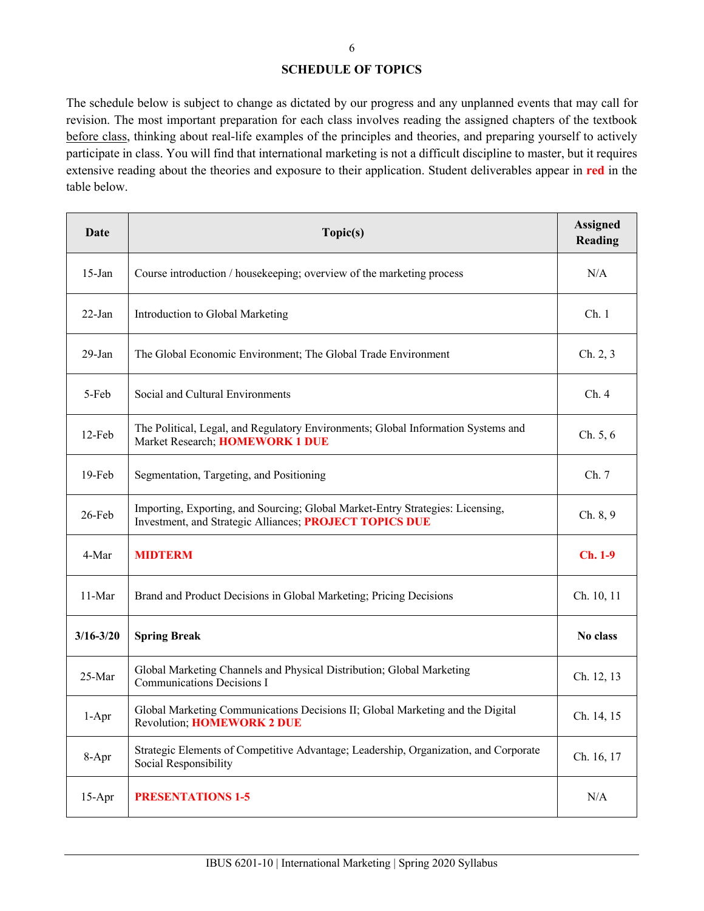# **SCHEDULE OF TOPICS**

The schedule below is subject to change as dictated by our progress and any unplanned events that may call for revision. The most important preparation for each class involves reading the assigned chapters of the textbook before class, thinking about real-life examples of the principles and theories, and preparing yourself to actively participate in class. You will find that international marketing is not a difficult discipline to master, but it requires extensive reading about the theories and exposure to their application. Student deliverables appear in **red** in the table below.

| Date          | Topic(s)                                                                                                                                  | <b>Assigned</b><br>Reading |
|---------------|-------------------------------------------------------------------------------------------------------------------------------------------|----------------------------|
| $15$ -Jan     | Course introduction / housekeeping; overview of the marketing process                                                                     | N/A                        |
| $22$ -Jan     | Introduction to Global Marketing                                                                                                          | Ch.1                       |
| 29-Jan        | The Global Economic Environment; The Global Trade Environment                                                                             | Ch. 2, 3                   |
| 5-Feb         | Social and Cultural Environments                                                                                                          | Ch.4                       |
| $12$ -Feb     | The Political, Legal, and Regulatory Environments; Global Information Systems and<br>Market Research; HOMEWORK 1 DUE                      | Ch. 5, 6                   |
| $19$ -Feb     | Segmentation, Targeting, and Positioning                                                                                                  | Ch.7                       |
| 26-Feb        | Importing, Exporting, and Sourcing; Global Market-Entry Strategies: Licensing,<br>Investment, and Strategic Alliances; PROJECT TOPICS DUE | Ch. 8, 9                   |
| 4-Mar         | <b>MIDTERM</b>                                                                                                                            | $Ch. 1-9$                  |
| 11-Mar        | Brand and Product Decisions in Global Marketing; Pricing Decisions                                                                        | Ch. 10, 11                 |
| $3/16 - 3/20$ | <b>Spring Break</b>                                                                                                                       | No class                   |
| 25-Mar        | Global Marketing Channels and Physical Distribution; Global Marketing<br><b>Communications Decisions I</b>                                | Ch. 12, 13                 |
| 1-Apr         | Global Marketing Communications Decisions II; Global Marketing and the Digital<br>Revolution; HOMEWORK 2 DUE                              | Ch. 14, 15                 |
| 8-Apr         | Strategic Elements of Competitive Advantage; Leadership, Organization, and Corporate<br>Social Responsibility                             | Ch. 16, 17                 |
| $15-Apr$      | <b>PRESENTATIONS 1-5</b>                                                                                                                  | N/A                        |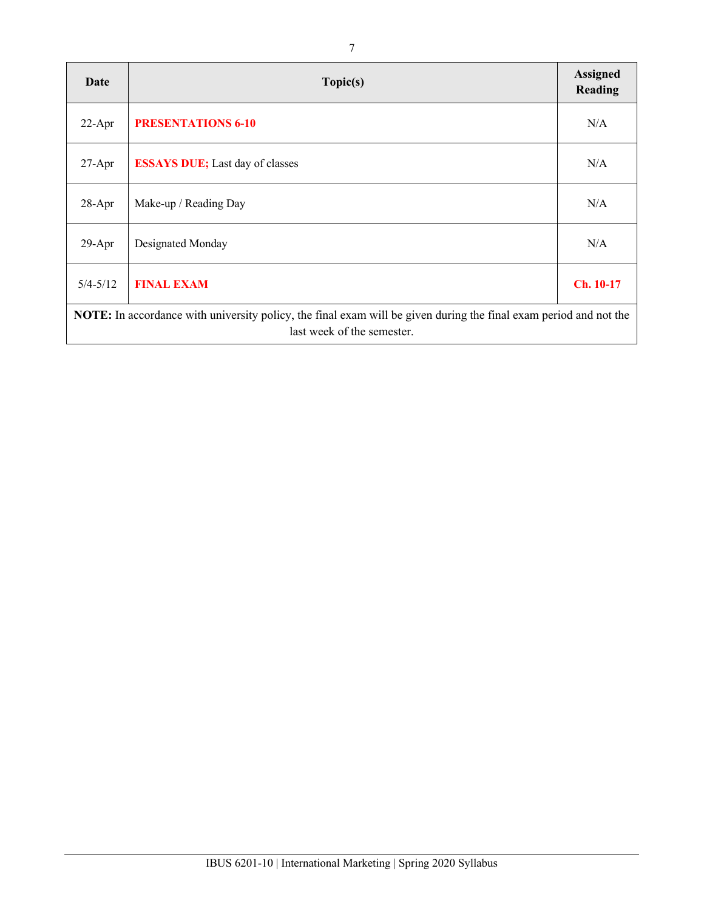| Date                                                                                                                                                   | Topic(s)                               | <b>Assigned</b><br>Reading |
|--------------------------------------------------------------------------------------------------------------------------------------------------------|----------------------------------------|----------------------------|
| $22-Apr$                                                                                                                                               | <b>PRESENTATIONS 6-10</b>              | N/A                        |
| $27$ -Apr                                                                                                                                              | <b>ESSAYS DUE;</b> Last day of classes | N/A                        |
| $28-Apr$                                                                                                                                               | Make-up / Reading Day                  | N/A                        |
| $29-Apr$                                                                                                                                               | Designated Monday                      | N/A                        |
| $5/4 - 5/12$                                                                                                                                           | <b>FINAL EXAM</b>                      | Ch. 10-17                  |
| <b>NOTE:</b> In accordance with university policy, the final exam will be given during the final exam period and not the<br>last week of the semester. |                                        |                            |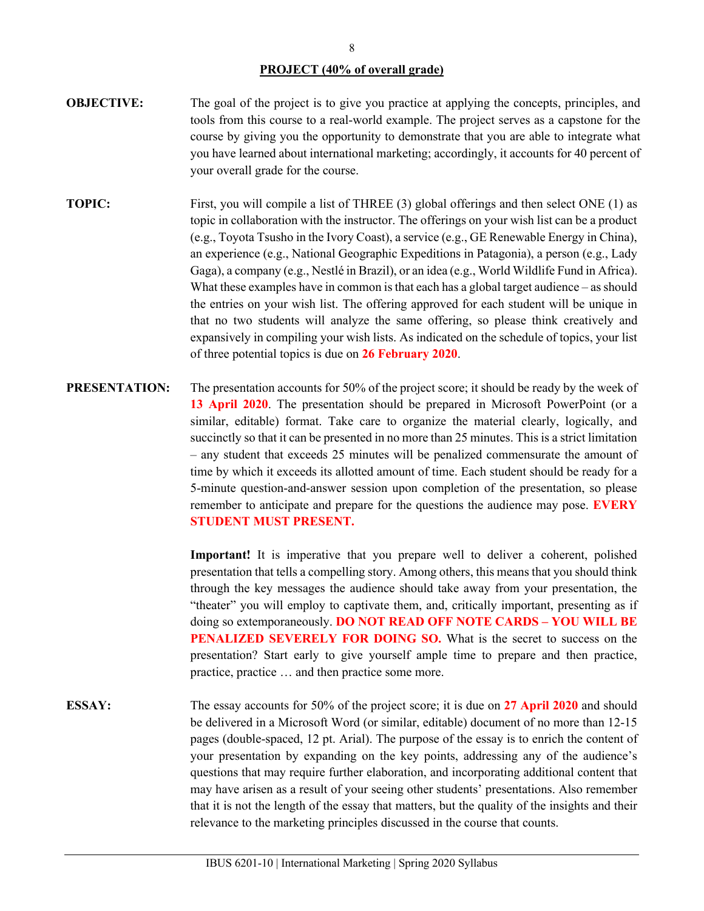#### **PROJECT (40% of overall grade)**

- **OBJECTIVE:** The goal of the project is to give you practice at applying the concepts, principles, and tools from this course to a real-world example. The project serves as a capstone for the course by giving you the opportunity to demonstrate that you are able to integrate what you have learned about international marketing; accordingly, it accounts for 40 percent of your overall grade for the course.
- **TOPIC:** First, you will compile a list of THREE (3) global offerings and then select ONE (1) as topic in collaboration with the instructor. The offerings on your wish list can be a product (e.g., Toyota Tsusho in the Ivory Coast), a service (e.g., GE Renewable Energy in China), an experience (e.g., National Geographic Expeditions in Patagonia), a person (e.g., Lady Gaga), a company (e.g., Nestlé in Brazil), or an idea (e.g., World Wildlife Fund in Africa). What these examples have in common is that each has a global target audience – as should the entries on your wish list. The offering approved for each student will be unique in that no two students will analyze the same offering, so please think creatively and expansively in compiling your wish lists. As indicated on the schedule of topics, your list of three potential topics is due on **26 February 2020**.
- **PRESENTATION:** The presentation accounts for 50% of the project score; it should be ready by the week of **13 April 2020**. The presentation should be prepared in Microsoft PowerPoint (or a similar, editable) format. Take care to organize the material clearly, logically, and succinctly so that it can be presented in no more than 25 minutes. This is a strict limitation – any student that exceeds 25 minutes will be penalized commensurate the amount of time by which it exceeds its allotted amount of time. Each student should be ready for a 5-minute question-and-answer session upon completion of the presentation, so please remember to anticipate and prepare for the questions the audience may pose. **EVERY STUDENT MUST PRESENT.**

**Important!** It is imperative that you prepare well to deliver a coherent, polished presentation that tells a compelling story. Among others, this means that you should think through the key messages the audience should take away from your presentation, the "theater" you will employ to captivate them, and, critically important, presenting as if doing so extemporaneously. **DO NOT READ OFF NOTE CARDS – YOU WILL BE PENALIZED SEVERELY FOR DOING SO.** What is the secret to success on the presentation? Start early to give yourself ample time to prepare and then practice, practice, practice … and then practice some more.

**ESSAY:** The essay accounts for 50% of the project score; it is due on 27 April 2020 and should be delivered in a Microsoft Word (or similar, editable) document of no more than 12-15 pages (double-spaced, 12 pt. Arial). The purpose of the essay is to enrich the content of your presentation by expanding on the key points, addressing any of the audience's questions that may require further elaboration, and incorporating additional content that may have arisen as a result of your seeing other students' presentations. Also remember that it is not the length of the essay that matters, but the quality of the insights and their relevance to the marketing principles discussed in the course that counts.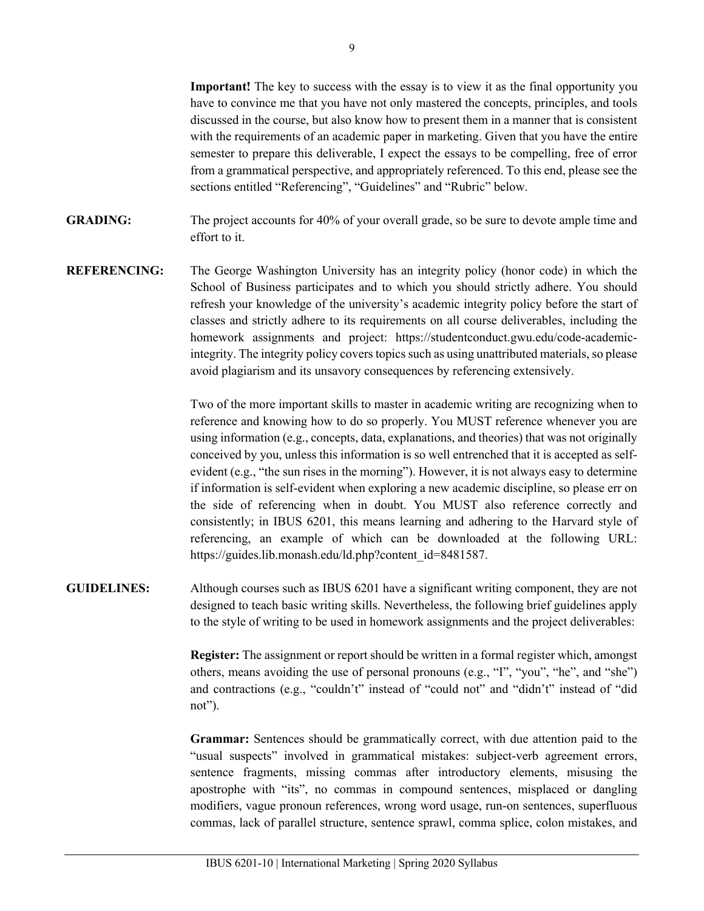**Important!** The key to success with the essay is to view it as the final opportunity you have to convince me that you have not only mastered the concepts, principles, and tools discussed in the course, but also know how to present them in a manner that is consistent with the requirements of an academic paper in marketing. Given that you have the entire semester to prepare this deliverable, I expect the essays to be compelling, free of error from a grammatical perspective, and appropriately referenced. To this end, please see the sections entitled "Referencing", "Guidelines" and "Rubric" below.

- **GRADING:** The project accounts for 40% of your overall grade, so be sure to devote ample time and effort to it.
- **REFERENCING:** The George Washington University has an integrity policy (honor code) in which the School of Business participates and to which you should strictly adhere. You should refresh your knowledge of the university's academic integrity policy before the start of classes and strictly adhere to its requirements on all course deliverables, including the homework assignments and project: https://studentconduct.gwu.edu/code-academicintegrity. The integrity policy covers topics such as using unattributed materials, so please avoid plagiarism and its unsavory consequences by referencing extensively.

Two of the more important skills to master in academic writing are recognizing when to reference and knowing how to do so properly. You MUST reference whenever you are using information (e.g., concepts, data, explanations, and theories) that was not originally conceived by you, unless this information is so well entrenched that it is accepted as selfevident (e.g., "the sun rises in the morning"). However, it is not always easy to determine if information is self-evident when exploring a new academic discipline, so please err on the side of referencing when in doubt. You MUST also reference correctly and consistently; in IBUS 6201, this means learning and adhering to the Harvard style of referencing, an example of which can be downloaded at the following URL: https://guides.lib.monash.edu/ld.php?content\_id=8481587.

**GUIDELINES:** Although courses such as IBUS 6201 have a significant writing component, they are not designed to teach basic writing skills. Nevertheless, the following brief guidelines apply to the style of writing to be used in homework assignments and the project deliverables:

> **Register:** The assignment or report should be written in a formal register which, amongst others, means avoiding the use of personal pronouns (e.g., "I", "you", "he", and "she") and contractions (e.g., "couldn't" instead of "could not" and "didn't" instead of "did not").

> **Grammar:** Sentences should be grammatically correct, with due attention paid to the "usual suspects" involved in grammatical mistakes: subject-verb agreement errors, sentence fragments, missing commas after introductory elements, misusing the apostrophe with "its", no commas in compound sentences, misplaced or dangling modifiers, vague pronoun references, wrong word usage, run-on sentences, superfluous commas, lack of parallel structure, sentence sprawl, comma splice, colon mistakes, and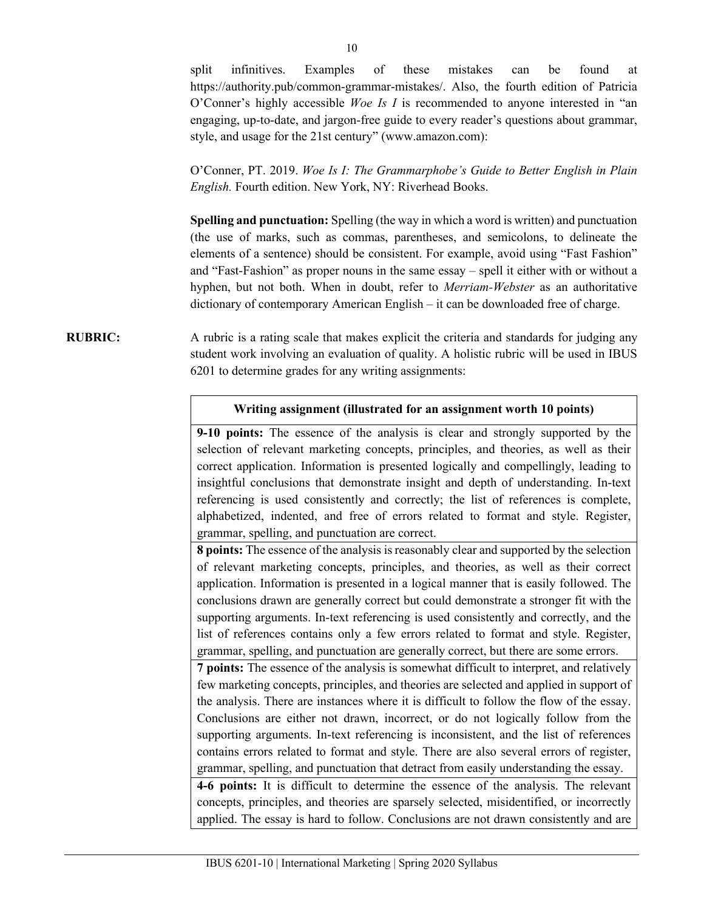split infinitives. Examples of these mistakes can be found at https://authority.pub/common-grammar-mistakes/. Also, the fourth edition of Patricia O'Conner's highly accessible *Woe Is I* is recommended to anyone interested in "an engaging, up-to-date, and jargon-free guide to every reader's questions about grammar, style, and usage for the 21st century" (www.amazon.com):

O'Conner, PT. 2019. *Woe Is I: The Grammarphobe's Guide to Better English in Plain English.* Fourth edition. New York, NY: Riverhead Books.

**Spelling and punctuation:** Spelling (the way in which a word is written) and punctuation (the use of marks, such as commas, parentheses, and semicolons, to delineate the elements of a sentence) should be consistent. For example, avoid using "Fast Fashion" and "Fast-Fashion" as proper nouns in the same essay – spell it either with or without a hyphen, but not both. When in doubt, refer to *Merriam-Webster* as an authoritative dictionary of contemporary American English – it can be downloaded free of charge.

**RUBRIC:** A rubric is a rating scale that makes explicit the criteria and standards for judging any student work involving an evaluation of quality. A holistic rubric will be used in IBUS 6201 to determine grades for any writing assignments:

#### **Writing assignment (illustrated for an assignment worth 10 points)**

**9-10 points:** The essence of the analysis is clear and strongly supported by the selection of relevant marketing concepts, principles, and theories, as well as their correct application. Information is presented logically and compellingly, leading to insightful conclusions that demonstrate insight and depth of understanding. In-text referencing is used consistently and correctly; the list of references is complete, alphabetized, indented, and free of errors related to format and style. Register, grammar, spelling, and punctuation are correct.

**8 points:** The essence of the analysis is reasonably clear and supported by the selection of relevant marketing concepts, principles, and theories, as well as their correct application. Information is presented in a logical manner that is easily followed. The conclusions drawn are generally correct but could demonstrate a stronger fit with the supporting arguments. In-text referencing is used consistently and correctly, and the list of references contains only a few errors related to format and style. Register, grammar, spelling, and punctuation are generally correct, but there are some errors.

**7 points:** The essence of the analysis is somewhat difficult to interpret, and relatively few marketing concepts, principles, and theories are selected and applied in support of the analysis. There are instances where it is difficult to follow the flow of the essay. Conclusions are either not drawn, incorrect, or do not logically follow from the supporting arguments. In-text referencing is inconsistent, and the list of references contains errors related to format and style. There are also several errors of register, grammar, spelling, and punctuation that detract from easily understanding the essay.

**4-6 points:** It is difficult to determine the essence of the analysis. The relevant concepts, principles, and theories are sparsely selected, misidentified, or incorrectly applied. The essay is hard to follow. Conclusions are not drawn consistently and are